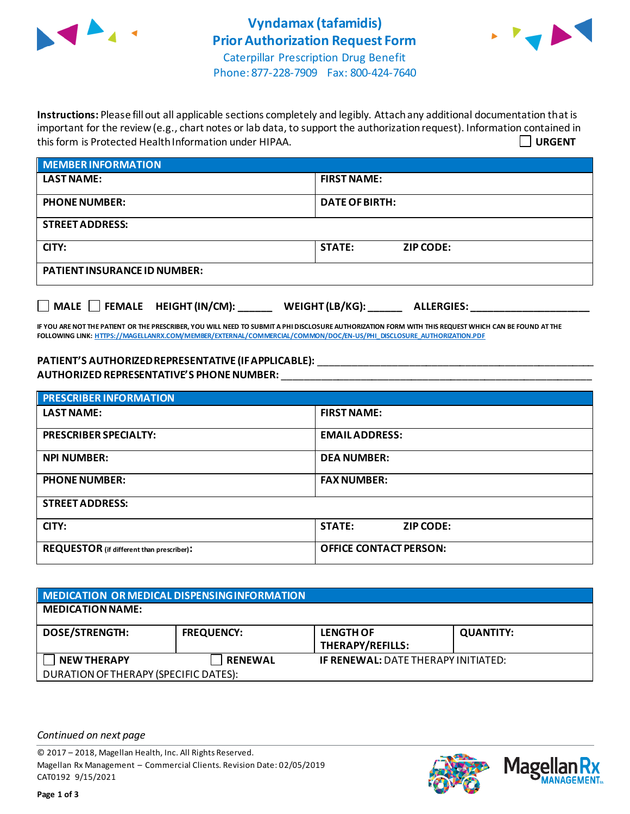



Phone: 877-228-7909 Fax: 800-424-7640

**Instructions:** Please fill out all applicable sections completely and legibly. Attach any additional documentation that is important for the review (e.g., chart notes or lab data, to support the authorization request). Information contained in this form is Protected Health Information under HIPAA. **URGENT**

| <b>MEMBER INFORMATION</b>           |                                   |
|-------------------------------------|-----------------------------------|
| <b>LAST NAME:</b>                   | <b>FIRST NAME:</b>                |
| <b>PHONE NUMBER:</b>                | <b>DATE OF BIRTH:</b>             |
| <b>STREET ADDRESS:</b>              |                                   |
| CITY:                               | <b>STATE:</b><br><b>ZIP CODE:</b> |
| <b>PATIENT INSURANCE ID NUMBER:</b> |                                   |
|                                     |                                   |

**IF YOU ARE NOT THE PATIENT OR THE PRESCRIBER, YOU WILL NEED TO SUBMIT A PHI DISCLOSURE AUTHORIZATION FORM WITH THIS REQUEST WHICH CAN BE FOUND AT THE FOLLOWING LINK[: HTTPS://MAGELLANRX.COM/MEMBER/EXTERNAL/COMMERCIAL/COMMON/DOC/EN-US/PHI\\_DISCLOSURE\\_AUTHORIZATION.PDF](https://magellanrx.com/member/external/commercial/common/doc/en-us/PHI_Disclosure_Authorization.pdf)**

**MALE FEMALE HEIGHT (IN/CM): \_\_\_\_\_\_ WEIGHT (LB/KG): \_\_\_\_\_\_ ALLERGIES: \_\_\_\_\_\_\_\_\_\_\_\_\_\_\_\_\_\_\_\_\_**

**PATIENT'S AUTHORIZED REPRESENTATIVE (IF APPLICABLE):** \_\_\_\_\_\_\_\_\_\_\_\_\_\_\_\_\_\_\_\_\_\_\_\_\_\_\_\_\_\_\_\_\_\_\_\_\_\_\_\_\_\_\_\_\_\_\_\_\_ **AUTHORIZED REPRESENTATIVE'S PHONE NUMBER:** \_\_\_\_\_\_\_\_\_\_\_\_\_\_\_\_\_\_\_\_\_\_\_\_\_\_\_\_\_\_\_\_\_\_\_\_\_\_\_\_\_\_\_\_\_\_\_\_\_\_\_\_\_\_\_

| <b>PRESCRIBER INFORMATION</b>             |                                   |
|-------------------------------------------|-----------------------------------|
| <b>LAST NAME:</b>                         | <b>FIRST NAME:</b>                |
| <b>PRESCRIBER SPECIALTY:</b>              | <b>EMAIL ADDRESS:</b>             |
| <b>NPI NUMBER:</b>                        | <b>DEA NUMBER:</b>                |
| <b>PHONE NUMBER:</b>                      | <b>FAX NUMBER:</b>                |
| <b>STREET ADDRESS:</b>                    |                                   |
| CITY:                                     | <b>STATE:</b><br><b>ZIP CODE:</b> |
| REQUESTOR (if different than prescriber): | <b>OFFICE CONTACT PERSON:</b>     |

| MEDICATION OR MEDICAL DISPENSING INFORMATION |                   |                                             |                  |  |
|----------------------------------------------|-------------------|---------------------------------------------|------------------|--|
| <b>MEDICATION NAME:</b>                      |                   |                                             |                  |  |
| <b>DOSE/STRENGTH:</b>                        | <b>FREQUENCY:</b> | <b>LENGTH OF</b><br><b>THERAPY/REFILLS:</b> | <b>QUANTITY:</b> |  |
| <b>NEW THERAPY</b>                           | <b>RENEWAL</b>    | <b>IF RENEWAL: DATE THERAPY INITIATED:</b>  |                  |  |
| DURATION OF THERAPY (SPECIFIC DATES):        |                   |                                             |                  |  |

*Continued on next page*

© 2017 – 2018, Magellan Health, Inc. All Rights Reserved. Magellan Rx Management – Commercial Clients. Revision Date: 02/05/2019 CAT0192 9/15/2021



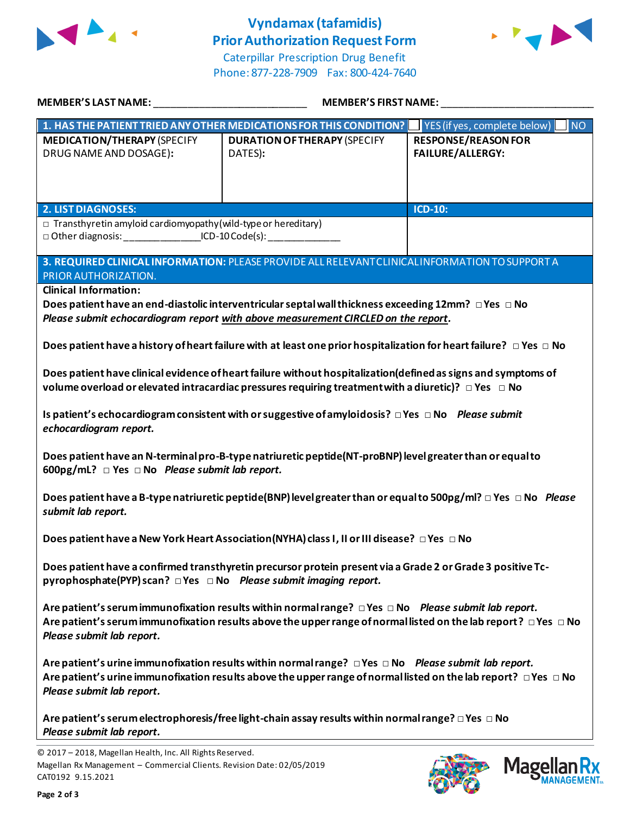

## **Vyndamax (tafamidis) Prior Authorization Request Form**





|                                                                                                                                                          | MEMBER'S LAST NAME: NAME AND A STATE OF THE STATE OF THE STATE OF THE STATE OF THE STATE OF THE STATE OF THE STATE OF THE STATE OF THE STATE OF THE STATE OF THE STATE OF THE STATE OF THE STATE OF THE STATE OF THE STATE OF<br><b>MEMBER'S FIRST NAME:</b> |                                                       |
|----------------------------------------------------------------------------------------------------------------------------------------------------------|--------------------------------------------------------------------------------------------------------------------------------------------------------------------------------------------------------------------------------------------------------------|-------------------------------------------------------|
|                                                                                                                                                          | 1. HAS THE PATIENT TRIED ANY OTHER MEDICATIONS FOR THIS CONDITION?   YES (if yes, complete below)                                                                                                                                                            | <b>NO</b>                                             |
| <b>MEDICATION/THERAPY (SPECIFY</b><br>DRUG NAME AND DOSAGE):                                                                                             | <b>DURATION OF THERAPY (SPECIFY</b><br>DATES):                                                                                                                                                                                                               | <b>RESPONSE/REASON FOR</b><br><b>FAILURE/ALLERGY:</b> |
| <b>2. LIST DIAGNOSES:</b>                                                                                                                                |                                                                                                                                                                                                                                                              | $ICD-10:$                                             |
| $\Box$ Transthyretin amyloid cardiomyopathy (wild-type or hereditary)<br>□ Other diagnosis: __________________ICD-10 Code(s): __________________________ |                                                                                                                                                                                                                                                              |                                                       |
| PRIOR AUTHORIZATION.                                                                                                                                     | 3. REQUIRED CLINICAL INFORMATION: PLEASE PROVIDE ALL RELEVANT CLINICAL INFORMATION TO SUPPORT A                                                                                                                                                              |                                                       |
| <b>Clinical Information:</b>                                                                                                                             | Does patient have an end-diastolic interventricular septal wall thickness exceeding 12mm? $\Box$ Yes $\Box$ No                                                                                                                                               |                                                       |
|                                                                                                                                                          | Please submit echocardiogram report with above measurement CIRCLED on the report.                                                                                                                                                                            |                                                       |
|                                                                                                                                                          | Does patient have a history of heart failure with at least one prior hospitalization for heart failure? $\Box$ Yes $\Box$ No                                                                                                                                 |                                                       |
|                                                                                                                                                          | Does patient have clinical evidence of heart failure without hospitalization(defined as signs and symptoms of<br>volume overload or elevated intracardiac pressures requiring treatment with a diuretic)? $\Box$ Yes $\Box$ No                               |                                                       |
| echocardiogram report.                                                                                                                                   | Is patient's echocardiogram consistent with or suggestive of amyloidosis? $\Box$ Yes $\Box$ No Please submit                                                                                                                                                 |                                                       |
| 600pg/mL? $\Box$ Yes $\Box$ No Please submit lab report.                                                                                                 | Does patient have an N-terminal pro-B-type natriuretic peptide(NT-proBNP) level greater than or equal to                                                                                                                                                     |                                                       |
| submit lab report.                                                                                                                                       | Does patient have a B-type natriuretic peptide (BNP) level greater than or equal to 500pg/ml? $\Box$ Yes $\Box$ No Please                                                                                                                                    |                                                       |
|                                                                                                                                                          | Does patient have a New York Heart Association(NYHA) class I, II or III disease? □ Yes □ No                                                                                                                                                                  |                                                       |
| pyrophosphate(PYP) scan? □ Yes □ No Please submit imaging report.                                                                                        | Does patient have a confirmed transthyretin precursor protein present via a Grade 2 or Grade 3 positive Tc-                                                                                                                                                  |                                                       |
| Please submit lab report.                                                                                                                                | Are patient's serum immunofixation results within normal range? $\Box$ Yes $\Box$ No Please submit lab report.<br>Are patient's serum immunofixation results above the upper range of normal listed on the lab report? $\Box$ Yes $\Box$ No                  |                                                       |
| Please submit lab report.                                                                                                                                | Are patient's urine immunofixation results within normal range? $\Box$ Yes $\Box$ No Please submit lab report.<br>Are patient's urine immunofixation results above the upper range of normal listed on the lab report? $\Box$ Yes $\Box$ No                  |                                                       |
| Please submit lab report.                                                                                                                                | Are patient's serum electrophoresis/free light-chain assay results within normal range? $\Box$ Yes $\Box$ No                                                                                                                                                 |                                                       |
| © 2017 - 2018, Magellan Health, Inc. All Rights Reserved.<br>Magellan Rx Management - Commercial Clients. Revision Date: 02/05/2019<br>CAT0192 9.15.2021 |                                                                                                                                                                                                                                                              | <b>Mage</b>                                           |